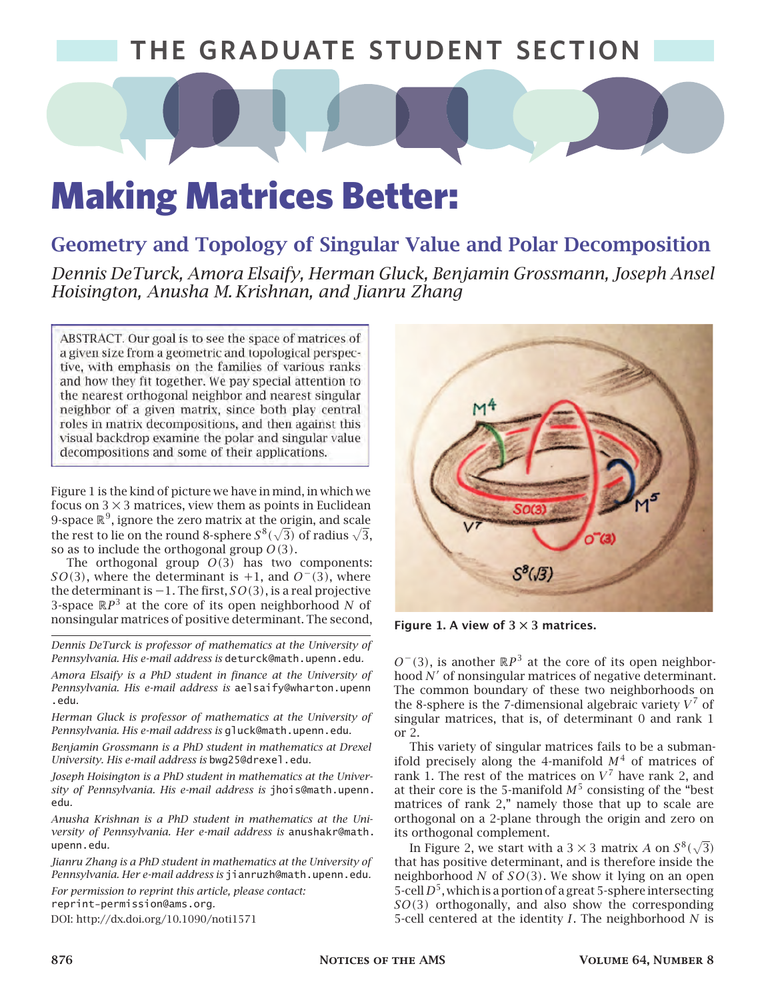### **T THE GRADUATE STUDENT SECTION HE GRADUATE STUDENT SECTION**

# Making Matrices Better:

### **Geometry and Topology of Singular Value and Polar Decomposition**

*Dennis DeTurck, Amora Elsaify, Herman Gluck, Benjamin Grossmann, Joseph Ansel Hoisington, Anusha M. Krishnan, and Jianru Zhang*

ABSTRACT. Our goal is to see the space of matrices of a given size from a geometric and topological perspective, with emphasis on the families of various ranks and how they fit together. We pay special attention to the nearest orthogonal neighbor and nearest singular neighbor of a given matrix, since both play central roles in matrix decompositions, and then against this visual backdrop examine the polar and singular value decompositions and some of their applications.

Figure 1 is the kind of picture we have in mind, in which we focus on  $3 \times 3$  matrices, view them as points in Euclidean 9-space  $\mathbb{R}^9$ , ignore the zero matrix at the origin, and scale the rest to lie on the round 8-sphere  $S^8(\sqrt{3})$  of radius  $\sqrt{3},$ so as to include the orthogonal group  $O(3)$ .

The orthogonal group  $O(3)$  has two components:  $SO(3)$ , where the determinant is +1, and  $O^-(3)$ , where the determinant is  $-1$ . The first,  $SO(3)$ , is a real projective 3-space  $\mathbb{R}P^3$  at the core of its open neighborhood N of nonsingular matrices of positive determinant. The second,

*Dennis DeTurck is professor of mathematics at the University of Pennsylvania. His e-mail address is* deturck@math.upenn.edu*.*

*Amora Elsaify is a PhD student in finance at the University of Pennsylvania. His e-mail address is* aelsaify@wharton.upenn .edu*.*

*Herman Gluck is professor of mathematics at the University of Pennsylvania. His e-mail address is* gluck@math.upenn.edu*.*

*Benjamin Grossmann is a PhD student in mathematics at Drexel University. His e-mail address is* bwg25@drexel.edu*.*

*Joseph Hoisington is a PhD student in mathematics at the University of Pennsylvania. His e-mail address is* jhois@math.upenn. edu*.*

*Anusha Krishnan is a PhD student in mathematics at the University of Pennsylvania. Her e-mail address is* anushakr@math. upenn.edu*.*

*Jianru Zhang is a PhD student in mathematics at the University of Pennsylvania. Her e-mail address is* jianruzh@math.upenn.edu*.*

*For permission to reprint this article, please contact:* reprint-permission@ams.org*.* DOI: http://dx.doi.org/10.1090/noti1571

 $M<sup>4</sup>$  $S^8(\sqrt{3})$ 

**Figure 1. A view of 3 × 3 matrices.**

 $O^-(3)$ , is another  $\mathbb{R}P^3$  at the core of its open neighborhood  $N'$  of nonsingular matrices of negative determinant. The common boundary of these two neighborhoods on the 8-sphere is the 7-dimensional algebraic variety  $V^7$  of singular matrices, that is, of determinant 0 and rank 1 or 2.

This variety of singular matrices fails to be a submanifold precisely along the 4-manifold  $M<sup>4</sup>$  of matrices of rank 1. The rest of the matrices on  $V^7$  have rank 2, and at their core is the 5-manifold  $M^5$  consisting of the "best matrices of rank 2," namely those that up to scale are orthogonal on a 2-plane through the origin and zero on its orthogonal complement.

In Figure 2, we start with a 3  $\times$  3 matrix A on  $S^8(\sqrt{3})$ that has positive determinant, and is therefore inside the neighborhood N of  $SO(3)$ . We show it lying on an open 5-cell  $D^5$ , which is a portion of a great 5-sphere intersecting  $SO(3)$  orthogonally, and also show the corresponding 5-cell centered at the identity  $I$ . The neighborhood  $N$  is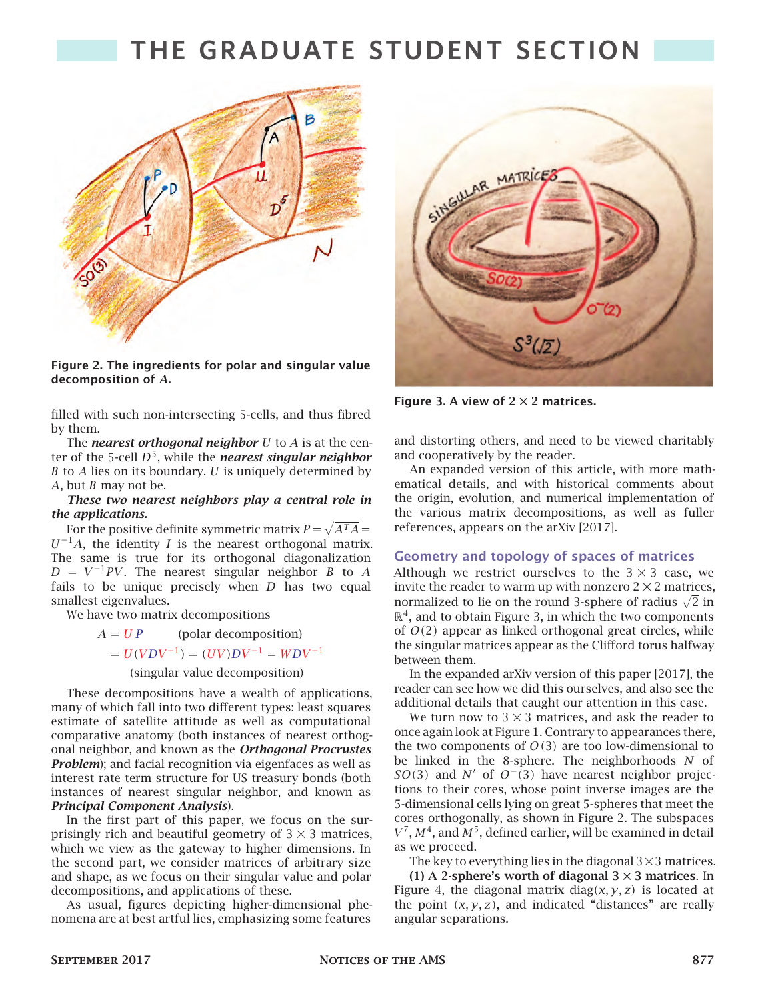

**Figure 2. The ingredients for polar and singular value decomposition of .**

filled with such non-intersecting 5-cells, and thus fibred by them.

The *nearest orthogonal neighbor*  $U$  to  $A$  is at the center of the 5-cell  $D^5$ , while the *nearest singular neighbor*  $B$  to  $A$  lies on its boundary.  $U$  is uniquely determined by A, but  $B$  may not be.

#### *These two nearest neighbors play a central role in the applications.*

For the positive definite symmetric matrix  $P=\sqrt{A^{T}A}=$  $U^{-1}A$ , the identity *I* is the nearest orthogonal matrix. The same is true for its orthogonal diagonalization  $D = V^{-1}PV$ . The nearest singular neighbor B to A fails to be unique precisely when  $D$  has two equal smallest eigenvalues.

We have two matrix decompositions

 $A = UP$  (polar decomposition)

 $= U(VDV^{-1}) = (UV)DV^{-1} = WDV^{-1}$ 

(singular value decomposition)

These decompositions have a wealth of applications, many of which fall into two different types: least squares estimate of satellite attitude as well as computational comparative anatomy (both instances of nearest orthogonal neighbor, and known as the *Orthogonal Procrustes Problem*); and facial recognition via eigenfaces as well as interest rate term structure for US treasury bonds (both instances of nearest singular neighbor, and known as *Principal Component Analysis*).

In the first part of this paper, we focus on the surprisingly rich and beautiful geometry of  $3 \times 3$  matrices, which we view as the gateway to higher dimensions. In the second part, we consider matrices of arbitrary size and shape, as we focus on their singular value and polar decompositions, and applications of these.

As usual, figures depicting higher-dimensional phenomena are at best artful lies, emphasizing some features



**Figure 3. A view of 2 × 2 matrices.**

and distorting others, and need to be viewed charitably and cooperatively by the reader.

An expanded version of this article, with more mathematical details, and with historical comments about the origin, evolution, and numerical implementation of the various matrix decompositions, as well as fuller references, appears on the arXiv [2017].

#### **Geometry and topology of spaces of matrices**

Although we restrict ourselves to the  $3 \times 3$  case, we invite the reader to warm up with nonzero  $2 \times 2$  matrices, normalized to lie on the round 3-sphere of radius  $\sqrt{2}$  in  $\mathbb{R}^4$ , and to obtain Figure 3, in which the two components of  $O(2)$  appear as linked orthogonal great circles, while the singular matrices appear as the Clifford torus halfway between them.

In the expanded arXiv version of this paper [2017], the reader can see how we did this ourselves, and also see the additional details that caught our attention in this case.

We turn now to  $3 \times 3$  matrices, and ask the reader to once again look at Figure 1. Contrary to appearances there, the two components of  $O(3)$  are too low-dimensional to be linked in the 8-sphere. The neighborhoods  $N$  of  $SO(3)$  and N' of  $O^-(3)$  have nearest neighbor projections to their cores, whose point inverse images are the 5-dimensional cells lying on great 5-spheres that meet the cores orthogonally, as shown in Figure 2. The subspaces  $V^7$ ,  $M^4$ , and  $M^5$ , defined earlier, will be examined in detail as we proceed.

The key to everything lies in the diagonal  $3\times 3$  matrices. **(1) A 2-sphere's worth of diagonal 3 × 3 matrices**. In

Figure 4, the diagonal matrix diag( $x, y, z$ ) is located at the point  $(x, y, z)$ , and indicated "distances" are really angular separations.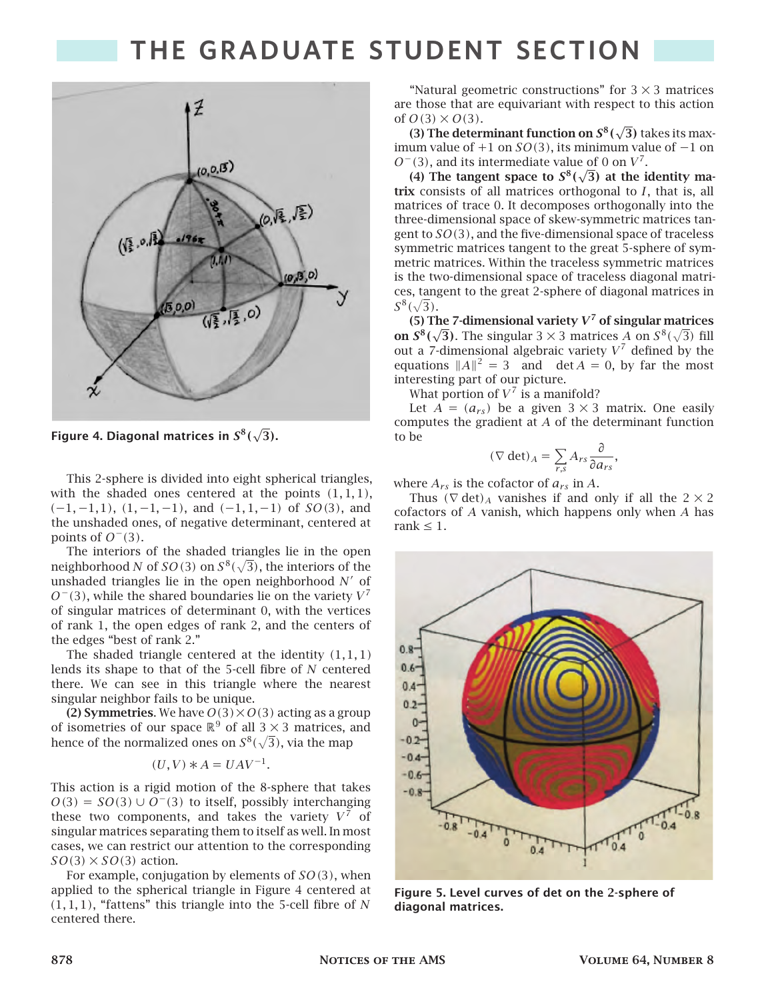

Figure 4. Diagonal matrices in  $S^8(\sqrt{3})$ .

This 2-sphere is divided into eight spherical triangles, with the shaded ones centered at the points  $(1, 1, 1)$ ,  $(-1, -1, 1)$ ,  $(1, -1, -1)$ , and  $(-1, 1, -1)$  of  $SO(3)$ , and the unshaded ones, of negative determinant, centered at points of  $O^-(3)$ .

The interiors of the shaded triangles lie in the open neighborhood  $N$  of  $SO(3)$  on  $S^8(\sqrt{3})$ , the interiors of the unshaded triangles lie in the open neighborhood  $N'$  of  $O^-(3)$ , while the shared boundaries lie on the variety  $V^7$ of singular matrices of determinant 0, with the vertices of rank 1, the open edges of rank 2, and the centers of the edges "best of rank 2."

The shaded triangle centered at the identity  $(1, 1, 1)$ lends its shape to that of the 5-cell fibre of  $N$  centered there. We can see in this triangle where the nearest singular neighbor fails to be unique.

**(2) Symmetries.** We have  $O(3) \times O(3)$  acting as a group of isometries of our space  $\mathbb{R}^9$  of all 3  $\times$  3 matrices, and hence of the normalized ones on  $S^8(\sqrt{3})$ , via the map

$$
(U, V) * A = UAV^{-1}.
$$

This action is a rigid motion of the 8-sphere that takes  $O(3) = SO(3) \cup O^{-}(3)$  to itself, possibly interchanging these two components, and takes the variety  $V^7$  of singular matrices separating them to itself as well. In most cases, we can restrict our attention to the corresponding  $SO(3) \times SO(3)$  action.

For example, conjugation by elements of  $SO(3)$ , when applied to the spherical triangle in Figure 4 centered at  $(1, 1, 1)$ , "fattens" this triangle into the 5-cell fibre of N centered there.

"Natural geometric constructions" for  $3 \times 3$  matrices are those that are equivariant with respect to this action of  $O(3) \times O(3)$ .

**(3) The determinant function on**  $S^8(\sqrt{3})$  **takes its max**imum value of  $+1$  on  $SO(3)$ , its minimum value of  $-1$  on  $O^-(3)$ , and its intermediate value of 0 on  $V^7$ .

(4) The tangent space to  $S^8(\sqrt{3})$  at the identity matrix consists of all matrices orthogonal to  $I$ , that is, all matrices of trace 0. It decomposes orthogonally into the three-dimensional space of skew-symmetric matrices tangent to  $SO(3)$ , and the five-dimensional space of traceless symmetric matrices tangent to the great 5-sphere of symmetric matrices. Within the traceless symmetric matrices is the two-dimensional space of traceless diagonal matrices, tangent to the great 2-sphere of diagonal matrices in  $S^{8}(\sqrt{3}).$ 

**(5) The 7-dimensional variety <sup>7</sup> of singular matrices on**  $S^8(\sqrt{3})$ **. The singular**  $3 \times 3$  matrices A on  $S^8(\sqrt{3})$  fill out a 7-dimensional algebraic variety  $V^7$  defined by the equations  $||A||^2 = 3$  and det  $A = 0$ , by far the most interesting part of our picture.

What portion of  $V^7$  is a manifold?

Let  $A = (a_{rs})$  be a given  $3 \times 3$  matrix. One easily computes the gradient at  $A$  of the determinant function to be

$$
(\nabla \det)_A = \sum_{r,s} A_{rs} \frac{\partial}{\partial a_{rs}},
$$

where  $A_{rs}$  is the cofactor of  $a_{rs}$  in A.

Thus  $(\nabla det)_A$  vanishes if and only if all the  $2 \times 2$ cofactors of  $A$  vanish, which happens only when  $A$  has rank  $\leq 1$ .



**Figure 5. Level curves of det on the 2-sphere of diagonal matrices.**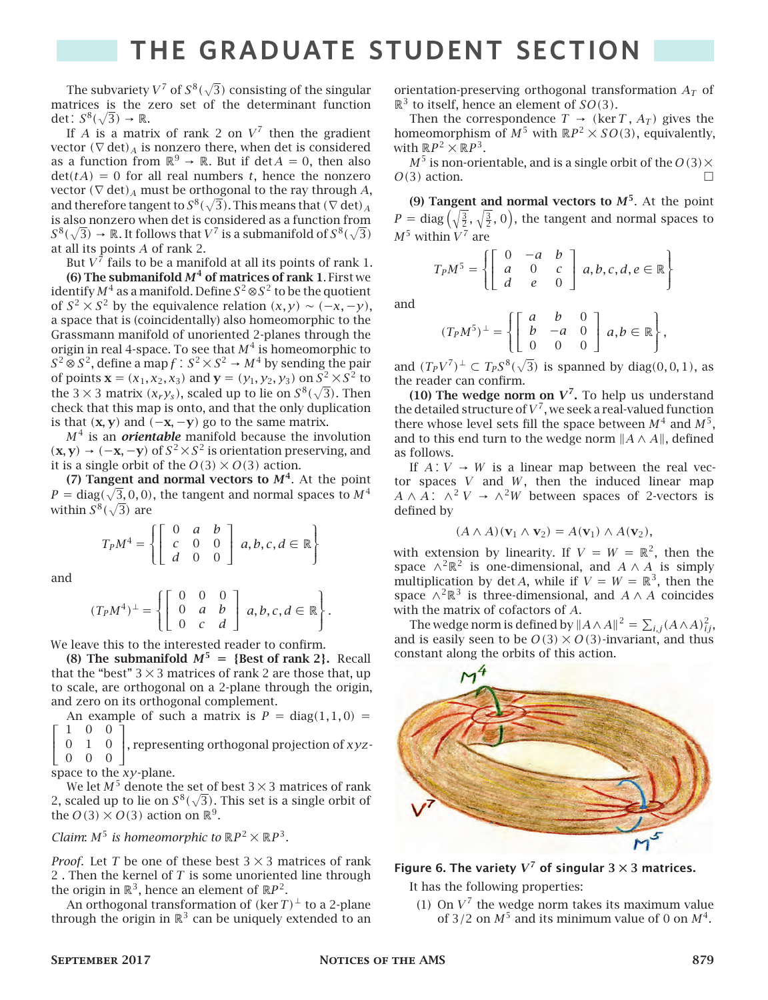The subvariety  $V^7$  of  $S^8(\sqrt{3})$  consisting of the singular matrices is the zero set of the determinant function det :  $S^8(\sqrt{3}) \rightarrow \mathbb{R}$ .

If A is a matrix of rank 2 on  $V^7$  then the gradient vector  $(\nabla det)_A$  is nonzero there, when det is considered as a function from  $\mathbb{R}^9 \to \mathbb{R}$ . But if det  $A = 0$ , then also  $det(tA) = 0$  for all real numbers t, hence the nonzero vector  $(\nabla \det)_A$  must be orthogonal to the ray through A, and therefore tangent to  $S^8(\sqrt{3}).$  This means that (  $\nabla$  det)  $_A$ is also nonzero when det is considered as a function from  $S^8(\sqrt{3}) \to \mathbb{R}$ . It follows that  $V^7$  is a submanifold of  $S^8(\sqrt{3})$ at all its points  $A$  of rank 2.

But  $V^7$  fails to be a manifold at all its points of rank 1. **(6) The submanifold**  $M<sup>4</sup>$  **of matrices of rank 1. First we** identify  $M^4$  as a manifold. Define  $S^2$  ⊗  $S^2$  to be the quotient of  $S^2 \times S^2$  by the equivalence relation  $(x, y) \sim (-x, -y)$ , a space that is (coincidentally) also homeomorphic to the Grassmann manifold of unoriented 2-planes through the origin in real 4-space. To see that  $M^4$  is homeomorphic to  $S^2 \otimes S^2$ , define a map  $f: S^2 \times S^2 \to M^4$  by sending the pair of points **x** = ( $x_1, x_2, x_3$ ) and **y** = ( $y_1, y_2, y_3$ ) on  $S^2 \times S^2$  to the 3  $\times$  3 matrix ( $x_r y_s$ ), scaled up to lie on  $S^8(\sqrt{3})$ . Then check that this map is onto, and that the only duplication is that  $(x, y)$  and  $(-x, -y)$  go to the same matrix.

<sup>4</sup> is an *orientable* manifold because the involution  $(**x**, **y**)$  →  $(-**x**, -**y**)$  of  $S^2 \times S^2$  is orientation preserving, and it is a single orbit of the  $O(3) \times O(3)$  action.

**(7) Tangent and normal vectors to**  $M<sup>4</sup>$ **. At the point**  $P = diag(\sqrt{3}, 0, 0)$ , the tangent and normal spaces to  $M<sup>4</sup>$ within  $S^8(\sqrt{3})$  are

$$
T_P M^4 = \left\{ \left[ \begin{array}{rrr} 0 & a & b \\ c & 0 & 0 \\ d & 0 & 0 \end{array} \right] a, b, c, d \in \mathbb{R} \right\}
$$

and

$$
(T_PM^4)^{\perp} = \left\{ \left[ \begin{array}{ccc} 0 & 0 & 0 \\ 0 & a & b \\ 0 & c & d \end{array} \right] a, b, c, d \in \mathbb{R} \right\}.
$$

We leave this to the interested reader to confirm.

**(8) The submanifold**  $M^5$  = {**Best of rank 2**}**.** Recall that the "best"  $3 \times 3$  matrices of rank 2 are those that, up to scale, are orthogonal on a 2-plane through the origin, and zero on its orthogonal complement.

An example of such a matrix is  $P = diag(1, 1, 0)$  = 1 0 0

 $\parallel$ ⎣ 0 1 0 , representing orthogonal projection of  $xyz$ - $0 \quad 0 \quad 0 \quad \boxed{\phantom{0}}$ 

space to the  $xy$ -plane.

We let  $M^5$  denote the set of best 3  $\times$  3 matrices of rank 2, scaled up to lie on  $S^8(\sqrt{3})$ . This set is a single orbit of the  $O(3) \times O(3)$  action on  $\mathbb{R}^9$ .

*Claim:*  $M^5$  *is homeomorphic to*  $\mathbb{R}P^2 \times \mathbb{R}P^3$ *.* 

*Proof.* Let *T* be one of these best  $3 \times 3$  matrices of rank 2. Then the kernel of  $T$  is some unoriented line through the origin in  $\mathbb{R}^3$ , hence an element of  $\mathbb{R}P^2$ .

An orthogonal transformation of  $(\ker T)^{\perp}$  to a 2-plane through the origin in  $\mathbb{R}^3$  can be uniquely extended to an orientation-preserving orthogonal transformation  $A_T$  of  $\mathbb{R}^3$  to itself, hence an element of  $SO(3)$ .

Then the correspondence  $T \rightarrow (\ker T, A_T)$  gives the homeomorphism of  $M^5$  with  $\mathbb{R}P^2 \times SO(3)$ , equivalently, with  $\mathbb{R}P^2 \times \mathbb{R}P^3$ .

 $M^5$  is non-orientable, and is a single orbit of the  $O(3) \times$  $O(3)$  action.

**(9) Tangent and normal vectors to**  $M^5$ **. At the point**  $P = \text{diag}\left(\sqrt{\frac{3}{2}}, \sqrt{\frac{3}{2}}, 0\right)$ , the tangent and normal spaces to  $M^5$  within  $V^7$  are

$$
T_P M^5 = \left\{ \left[ \begin{array}{rrr} 0 & -a & b \\ a & 0 & c \\ d & e & 0 \end{array} \right] a, b, c, d, e \in \mathbb{R} \right\}
$$

and

$$
(T_PM^5)^{\perp} = \left\{ \left[ \begin{array}{ccc} a & b & 0 \\ b & -a & 0 \\ 0 & 0 & 0 \end{array} \right] a, b \in \mathbb{R} \right\},\
$$

and  $(T_PV^7)^{\perp} \subset T_PS^8(\sqrt{3})$  is spanned by diag(0,0,1), as the reader can confirm.

**(10) The wedge norm on**  $V^7$ **. To help us understand** the detailed structure of  $V^7$ , we seek a real-valued function there whose level sets fill the space between  $M^4$  and  $M^5$ , and to this end turn to the wedge norm  $||A \wedge A||$ , defined as follows.

If  $A: V \rightarrow W$  is a linear map between the real vector spaces  $V$  and  $W$ , then the induced linear map  $A \wedge \overline{A}$ :  $\wedge^2 V \rightarrow \wedge^2 W$  between spaces of 2-vectors is defined by

$$
(A \wedge A)(\mathbf{v}_1 \wedge \mathbf{v}_2) = A(\mathbf{v}_1) \wedge A(\mathbf{v}_2),
$$

with extension by linearity. If  $V = W = \mathbb{R}^2$ , then the space  $\wedge^2 \mathbb{R}^2$  is one-dimensional, and  $A \wedge A$  is simply multiplication by det A, while if  $V = W = \mathbb{R}^3$ , then the space  $\wedge^2 \mathbb{R}^3$  is three-dimensional, and  $A \wedge A$  coincides with the matrix of cofactors of  $A$ .

The wedge norm is defined by  $||A \wedge A||^2 = \sum_{i,j} (A \wedge A)^2_{ij}$ , and is easily seen to be  $O(3) \times O(3)$ -invariant, and thus constant along the orbits of this action.



Figure 6. The variety  $V^7$  of singular  $3 \times 3$  matrices.

It has the following properties:

(1) On  $V^7$  the wedge norm takes its maximum value of 3/2 on  $M^5$  and its minimum value of 0 on  $M^4$ .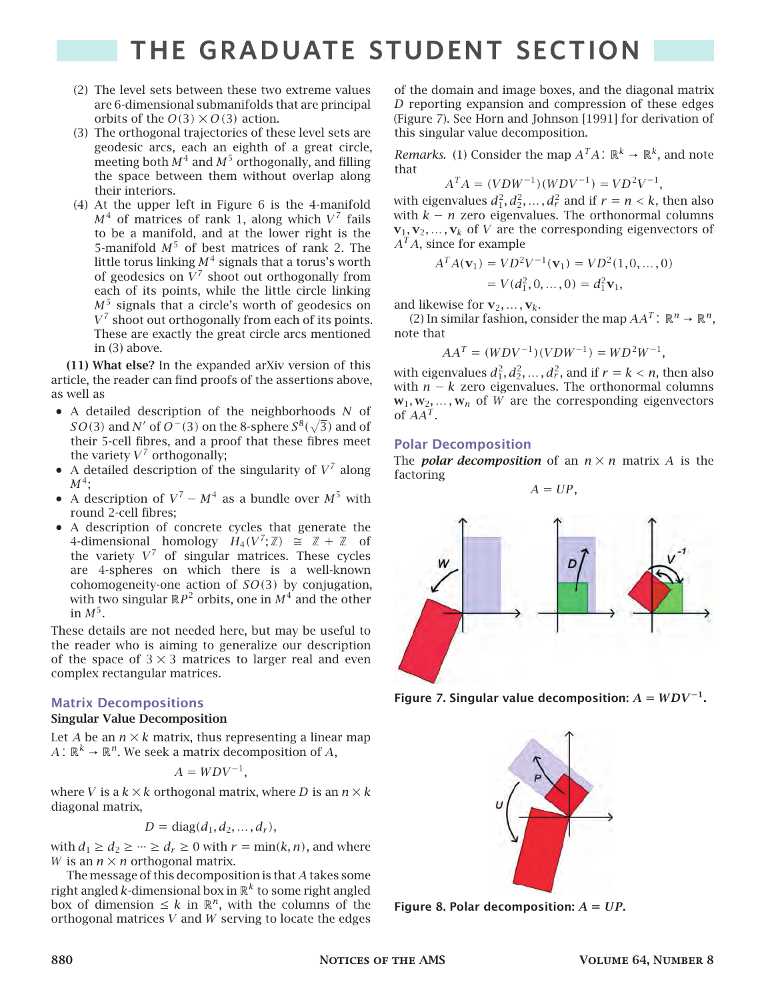- (2) The level sets between these two extreme values are 6-dimensional submanifolds that are principal orbits of the  $O(3) \times O(3)$  action.
- (3) The orthogonal trajectories of these level sets are geodesic arcs, each an eighth of a great circle, meeting both  $M^4$  and  $M^5$  orthogonally, and filling the space between them without overlap along their interiors.
- (4) At the upper left in Figure 6 is the 4-manifold  $M^4$  of matrices of rank 1, along which  $V^7$  fails to be a manifold, and at the lower right is the 5-manifold  $M^5$  of best matrices of rank 2. The little torus linking  $M^4$  signals that a torus's worth of geodesics on  $V^7$  shoot out orthogonally from each of its points, while the little circle linking  $M<sup>5</sup>$  signals that a circle's worth of geodesics on  $V^7$  shoot out orthogonally from each of its points. These are exactly the great circle arcs mentioned in (3) above.

**(11) What else?** In the expanded arXiv version of this article, the reader can find proofs of the assertions above, as well as

- $\bullet$  A detailed description of the neighborhoods  $N$  of  $SO(3)$  and  $N'$  of  $O^-(3)$  on the 8-sphere  $S^8(\sqrt{3})$  and of their 5-cell fibres, and a proof that these fibres meet the variety  $V^7$  orthogonally;
- A detailed description of the singularity of  $V^7$  along  $M^4;$
- A description of  $V^7 M^4$  as a bundle over  $M^5$  with round 2-cell fibres;
- A description of concrete cycles that generate the 4-dimensional homology  $H_4(V^7; \mathbb{Z}) \cong \mathbb{Z} + \mathbb{Z}$  of the variety  $V^7$  of singular matrices. These cycles are 4-spheres on which there is a well-known cohomogeneity-one action of  $SO(3)$  by conjugation, with two singular  $\mathbb{R}P^2$  orbits, one in  $M^4$  and the other in  $M^5$ .

These details are not needed here, but may be useful to the reader who is aiming to generalize our description of the space of  $3 \times 3$  matrices to larger real and even complex rectangular matrices.

### **Matrix Decompositions**

### **Singular Value Decomposition**

Let A be an  $n \times k$  matrix, thus representing a linear map  $A: \mathbb{R}^k \to \mathbb{R}^n$ . We seek a matrix decomposition of  $A$ ,

$$
A = WDV^{-1},
$$

where *V* is a  $k \times k$  orthogonal matrix, where *D* is an  $n \times k$ diagonal matrix,

$$
D = diag(d_1, d_2, \ldots, d_r),
$$

with  $d_1 \geq d_2 \geq \cdots \geq d_r \geq 0$  with  $r = \min(k, n)$ , and where *W* is an  $n \times n$  orthogonal matrix.

The message of this decomposition is that  $A$  takes some right angled  $k$ -dimensional box in  $\mathbb{R}^k$  to some right angled box of dimension  $\leq k$  in  $\mathbb{R}^n$ , with the columns of the orthogonal matrices  $V$  and  $W$  serving to locate the edges of the domain and image boxes, and the diagonal matrix  *reporting expansion and compression of these edges* (Figure 7). See Horn and Johnson [1991] for derivation of this singular value decomposition.

*Remarks.* (1) Consider the map  $A<sup>T</sup>A$ :  $\mathbb{R}^k \to \mathbb{R}^k$ , and note that

$$
A^T A = (V D W^{-1})(W D V^{-1}) = V D^2 V^{-1},
$$

with eigenvalues  $d_1^2, d_2^2, ..., d_r^2$  and if  $r = n < k$ , then also with  $k - n$  zero eigenvalues. The orthonormal columns  $\mathbf{v}_1, \mathbf{v}_2, \dots, \mathbf{v}_k$  of *V* are the corresponding eigenvectors of  $A<sup>T</sup>A$ , since for example

$$
ATA(v1) = VD2V-1(v1) = VD2(1, 0, ..., 0)
$$
  
= V(d<sub>1</sub><sup>2</sup>, 0, ..., 0) = d<sub>1</sub><sup>2</sup>**v**<sub>1</sub>,

and likewise for  $\mathbf{v}_2, \ldots, \mathbf{v}_k$ .

(2) In similar fashion, consider the map  $AA^T$ :  $\mathbb{R}^n \to \mathbb{R}^n$ , note that

$$
AA^T = (WDV^{-1})(VDW^{-1}) = WD^2W^{-1},
$$

with eigenvalues  $d_1^2, d_2^2, ..., d_r^2$ , and if  $r = k < n$ , then also with  $n - k$  zero eigenvalues. The orthonormal columns  $w_1, w_2, \ldots, w_n$  of *W* are the corresponding eigenvectors of  $AA^T$ .

### **Polar Decomposition**

The *polar decomposition* of an  $n \times n$  matrix A is the factoring

 $A = UP$ .



Figure 7. Singular value decomposition:  $A = WDV^{-1}$ .



**Figure** 8. Polar decomposition:  $A = UP$ .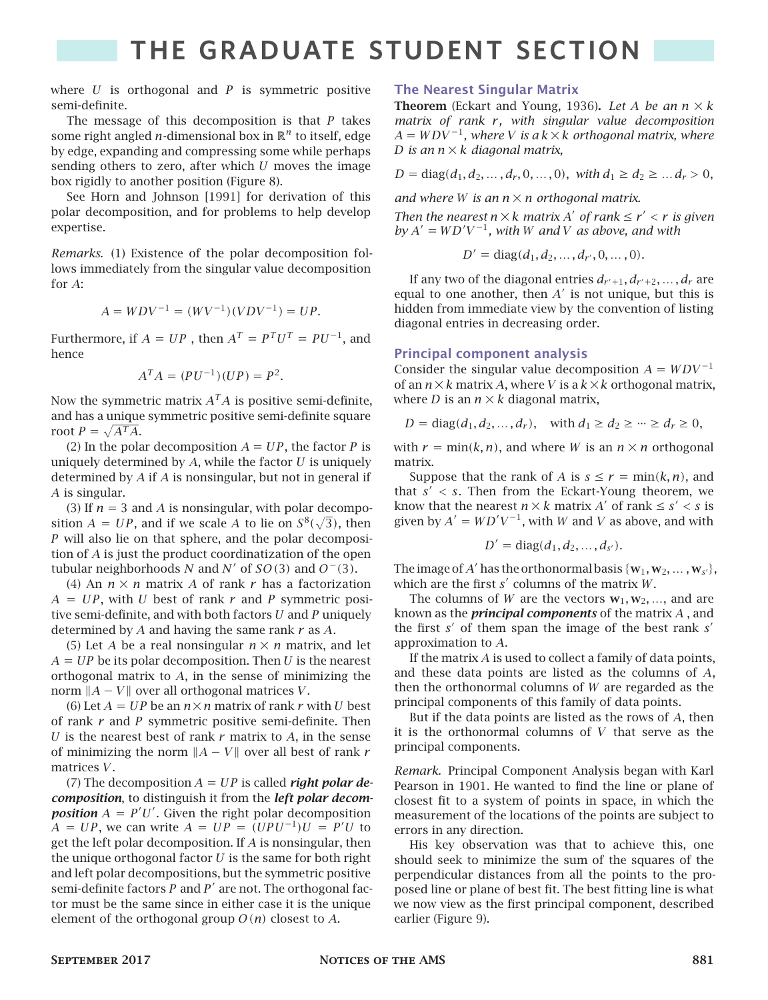where  $U$  is orthogonal and  $P$  is symmetric positive semi-definite.

The message of this decomposition is that  $P$  takes some right angled *n*-dimensional box in  $\mathbb{R}^n$  to itself, edge by edge, expanding and compressing some while perhaps sending others to zero, after which  $U$  moves the image box rigidly to another position (Figure 8).

See Horn and Johnson [1991] for derivation of this polar decomposition, and for problems to help develop expertise.

*Remarks.* (1) Existence of the polar decomposition follows immediately from the singular value decomposition for A:

$$
A = WDV^{-1} = (WV^{-1})(VDV^{-1}) = UP.
$$

Furthermore, if  $A = UP$  , then  $A<sup>T</sup> = P<sup>T</sup>U<sup>T</sup> = PU<sup>-1</sup>$ , and hence

$$
A^T A = (PU^{-1})(UP) = P^2.
$$

Now the symmetric matrix  $A^TA$  is positive semi-definite, and has a unique symmetric positive semi-definite square root  $P = \sqrt{A^T A}$ .

(2) In the polar decomposition  $A = UP$ , the factor P is uniquely determined by  $A$ , while the factor  $U$  is uniquely determined by  $A$  if  $A$  is nonsingular, but not in general if  $\overline{A}$  is singular.

(3) If  $n = 3$  and A is nonsingular, with polar decomposition  $A = UP$ , and if we scale A to lie on  $S^8(\sqrt{3})$ , then will also lie on that sphere, and the polar decomposition of  $A$  is just the product coordinatization of the open tubular neighborhoods N and N' of  $SO(3)$  and  $O^-(3)$ .

(4) An  $n \times n$  matrix A of rank r has a factorization  $A = UP$ , with U best of rank r and P symmetric positive semi-definite, and with both factors  $U$  and  $P$  uniquely determined by  $A$  and having the same rank  $r$  as  $A$ .

(5) Let A be a real nonsingular  $n \times n$  matrix, and let  $A = UP$  be its polar decomposition. Then U is the nearest orthogonal matrix to  $A$ , in the sense of minimizing the norm  $||A - V||$  over all orthogonal matrices V.

(6) Let  $A = UP$  be an  $n \times n$  matrix of rank r with U best of rank  $r$  and  $P$  symmetric positive semi-definite. Then  $U$  is the nearest best of rank  $r$  matrix to  $A$ , in the sense of minimizing the norm  $||A - V||$  over all best of rank r matrices  $V$ .

 $(7)$  The decomposition  $A = UP$  is called *right polar decomposition*, to distinguish it from the *left polar decomposition*  $A = P'U'$ . Given the right polar decomposition  $A = UP$ , we can write  $A = UP = (UPU^{-1})U = P'U$  to get the left polar decomposition. If  $A$  is nonsingular, then the unique orthogonal factor  $U$  is the same for both right and left polar decompositions, but the symmetric positive semi-definite factors  $P$  and  $P'$  are not. The orthogonal factor must be the same since in either case it is the unique element of the orthogonal group  $O(n)$  closest to A.

### **The Nearest Singular Matrix**

**Theorem** (Eckart and Young, 1936). Let A be an  $n \times k$ *matrix of rank r, with singular value decomposition*  $A = WDV^{-1}$ , where *V* is a  $k \times k$  orthogonal matrix, where *D* is an  $n \times k$  diagonal matrix,

$$
D = diag(d_1, d_2, ..., d_r, 0, ..., 0), \text{ with } d_1 \ge d_2 \ge ... d_r > 0,
$$

*and where W* is an  $n \times n$  orthogonal matrix.

*Then the nearest*  $n \times k$  *matrix*  $A'$  *of rank*  $\leq r' < r$  *is given*  $by A' = WD'V^{-1}$ , with *W* and *V* as above, and with

$$
D' = diag(d_1, d_2, ..., d_{r'}, 0, ..., 0).
$$

If any two of the diagonal entries  $d_{r'+1}, d_{r'+2}, \ldots, d_r$  are equal to one another, then  $A'$  is not unique, but this is hidden from immediate view by the convention of listing diagonal entries in decreasing order.

### **Principal component analysis**

Consider the singular value decomposition  $A = WDV^{-1}$ of an  $n \times k$  matrix A, where V is a  $k \times k$  orthogonal matrix, where *D* is an  $n \times k$  diagonal matrix,

$$
D = diag(d_1, d_2, ..., d_r),
$$
 with  $d_1 \ge d_2 \ge ... \ge d_r \ge 0,$ 

with  $r = min(k, n)$ , and where *W* is an  $n \times n$  orthogonal matrix.

Suppose that the rank of A is  $s \le r = \min(k, n)$ , and that  $s' < s$ . Then from the Eckart-Young theorem, we know that the nearest  $n \times k$  matrix A' of rank  $\leq s' < s$  is given by  $A' = WD'V^{-1}$ , with W and V as above, and with

$$
D' = \text{diag}(d_1, d_2, \ldots, d_{s'}).
$$

The image of A' has the orthonormal basis  $\{w_1, w_2, ..., w_{s'}\}$ , which are the first  $s'$  columns of the matrix  $W$ .

The columns of *W* are the vectors  $w_1, w_2, \ldots$ , and are known as the *principal components* of the matrix A, and the first  $s'$  of them span the image of the best rank  $s'$ approximation to  $A$ .

If the matrix  $A$  is used to collect a family of data points, and these data points are listed as the columns of  $A$ , then the orthonormal columns of  $W$  are regarded as the principal components of this family of data points.

But if the data points are listed as the rows of  $A$ , then it is the orthonormal columns of  $V$  that serve as the principal components.

*Remark.* Principal Component Analysis began with Karl Pearson in 1901. He wanted to find the line or plane of closest fit to a system of points in space, in which the measurement of the locations of the points are subject to errors in any direction.

His key observation was that to achieve this, one should seek to minimize the sum of the squares of the perpendicular distances from all the points to the proposed line or plane of best fit. The best fitting line is what we now view as the first principal component, described earlier (Figure 9).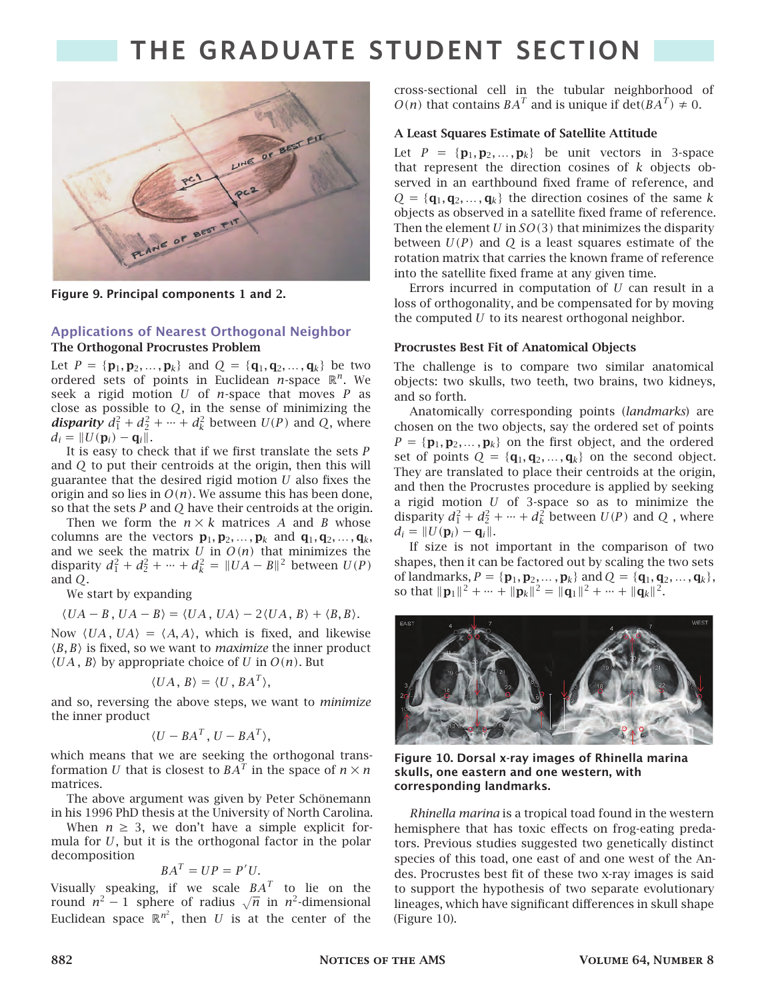

**Figure 9. Principal components 1 and 2.**

#### **Applications of Nearest Orthogonal Neighbor The Orthogonal Procrustes Problem**

Let  $P = {\bf{p}_1, p_2, ..., p_k}$  and  $Q = {\bf{q}_1, q_2, ..., q_k}$  be two ordered sets of points in Euclidean  $n$ -space  $\mathbb{R}^n$ . We seek a rigid motion  $U$  of  $n$ -space that moves  $P$  as close as possible to  $Q$ , in the sense of minimizing the *disparity*  $d_1^2 + d_2^2 + \cdots + d_k^2$  between  $U(P)$  and Q, where  $d_i = ||U(\mathbf{p}_i) - \mathbf{q}_i||.$ 

It is easy to check that if we first translate the sets  $P$ and  $Q$  to put their centroids at the origin, then this will guarantee that the desired rigid motion  $U$  also fixes the origin and so lies in  $O(n)$ . We assume this has been done, so that the sets  $P$  and  $Q$  have their centroids at the origin.

Then we form the  $n \times k$  matrices A and B whose columns are the vectors  $\mathbf{p}_1, \mathbf{p}_2, \dots, \mathbf{p}_k$  and  $\mathbf{q}_1, \mathbf{q}_2, \dots, \mathbf{q}_k$ , and we seek the matrix  $U$  in  $O(n)$  that minimizes the disparity  $d_1^2 + d_2^2 + \cdots + d_k^2 = ||UA - B||^2$  between  $U(P)$ and  $O$ .

We start by expanding

 $\langle UA - B, UA - B \rangle = \langle UA, UA \rangle - 2\langle UA, B \rangle + \langle B, B \rangle.$ 

Now  $\langle UA, UA \rangle = \langle A, A \rangle$ , which is fixed, and likewise ⟨, ⟩ is fixed, so we want to *maximize* the inner product  $\langle UA, B \rangle$  by appropriate choice of U in  $O(n)$ . But

$$
\langle UA, B \rangle = \langle U, BA^T \rangle,
$$

and so, reversing the above steps, we want to *minimize* the inner product

$$
\langle U - BA^T, U - BA^T \rangle,
$$

which means that we are seeking the orthogonal transformation  $U$  that is closest to  $BA^T$  in the space of  $n \times n$ matrices.

The above argument was given by Peter Schönemann in his 1996 PhD thesis at the University of North Carolina.

When  $n \geq 3$ , we don't have a simple explicit formula for  $U$ , but it is the orthogonal factor in the polar decomposition

$$
BA^T = UP = P'U.
$$

Visually speaking, if we scale  $BA^T$  to lie on the round  $n^2-1$  sphere of radius  $\sqrt{n}$  in  $n^2$ -dimensional Euclidean space  $\mathbb{R}^{n^2}$ , then  $U$  is at the center of the cross-sectional cell in the tubular neighborhood of  $O(n)$  that contains  $BA<sup>T</sup>$  and is unique if  $\det(BA<sup>T</sup>) \neq 0$ .

#### **A Least Squares Estimate of Satellite Attitude**

Let  $P = \{p_1, p_2, \ldots, p_k\}$  be unit vectors in 3-space that represent the direction cosines of  $k$  objects observed in an earthbound fixed frame of reference, and  $Q = {\bf{q}_1, q_2, ..., q_k}$  the direction cosines of the same k objects as observed in a satellite fixed frame of reference. Then the element  $U$  in  $SO(3)$  that minimizes the disparity between  $U(P)$  and Q is a least squares estimate of the rotation matrix that carries the known frame of reference into the satellite fixed frame at any given time.

Errors incurred in computation of  $U$  can result in a loss of orthogonality, and be compensated for by moving the computed  $U$  to its nearest orthogonal neighbor.

#### **Procrustes Best Fit of Anatomical Objects**

The challenge is to compare two similar anatomical objects: two skulls, two teeth, two brains, two kidneys, and so forth.

Anatomically corresponding points (*landmarks*) are chosen on the two objects, say the ordered set of points  $P = {\mathbf{p}_1, \mathbf{p}_2, ..., \mathbf{p}_k}$  on the first object, and the ordered set of points  $Q = {\mathbf{q}_1, \mathbf{q}_2, ..., \mathbf{q}_k}$  on the second object. They are translated to place their centroids at the origin, and then the Procrustes procedure is applied by seeking a rigid motion  $U$  of 3-space so as to minimize the disparity  $d_1^2 + d_2^2 + \cdots + d_k^2$  between  $U(P)$  and  $Q$ , where  $d_i = ||U(\mathbf{p}_i) - \mathbf{q}_i||.$ 

If size is not important in the comparison of two shapes, then it can be factored out by scaling the two sets of landmarks,  $P = {\bf{p}_1, p_2, ..., p_k}$  and  $Q = {\bf{q}_1, q_2, ..., q_k}$ , so that  $\|\mathbf{p}_1\|^2 + \dots + \|\mathbf{p}_k\|^2 = \|\mathbf{q}_1\|^2 + \dots + \|\mathbf{q}_k\|^2$ .



**Figure 10. Dorsal x-ray images of Rhinella marina skulls, one eastern and one western, with corresponding landmarks.**

*Rhinella marina* is a tropical toad found in the western hemisphere that has toxic effects on frog-eating predators. Previous studies suggested two genetically distinct species of this toad, one east of and one west of the Andes. Procrustes best fit of these two x-ray images is said to support the hypothesis of two separate evolutionary lineages, which have significant differences in skull shape (Figure 10).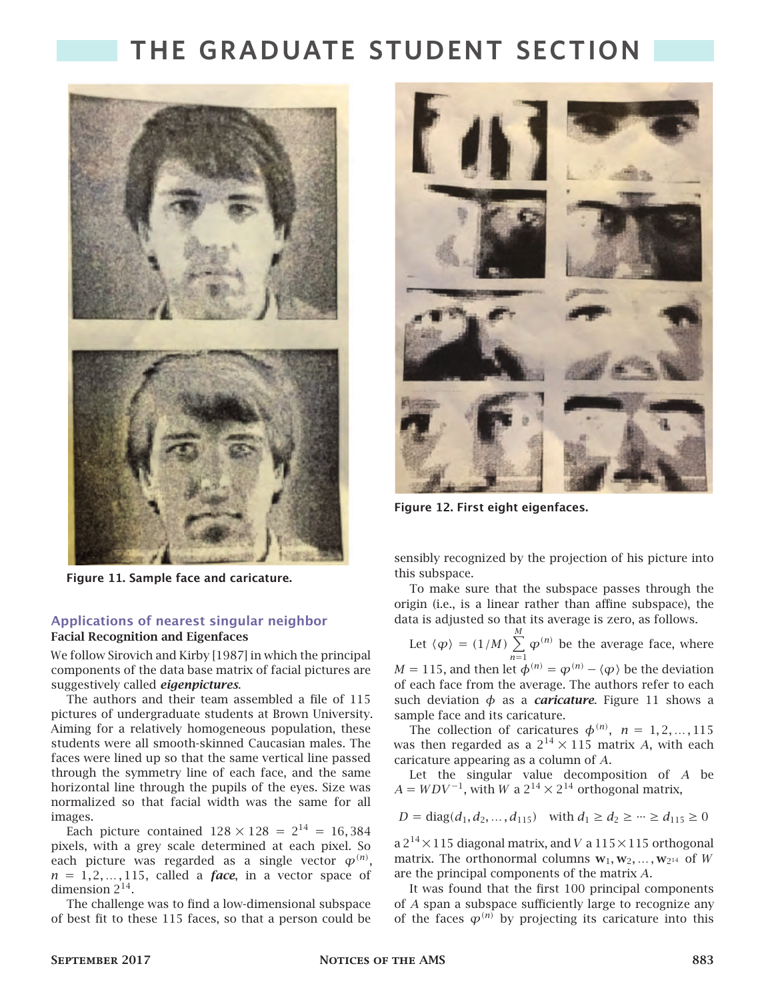

**Figure 11. Sample face and caricature.**

### **Applications of nearest singular neighbor Facial Recognition and Eigenfaces**

We follow Sirovich and Kirby [1987] in which the principal components of the data base matrix of facial pictures are suggestively called *eigenpictures*.

The authors and their team assembled a file of 115 pictures of undergraduate students at Brown University. Aiming for a relatively homogeneous population, these students were all smooth-skinned Caucasian males. The faces were lined up so that the same vertical line passed through the symmetry line of each face, and the same horizontal line through the pupils of the eyes. Size was normalized so that facial width was the same for all images.

Each picture contained  $128 \times 128 = 2^{14} = 16,384$ pixels, with a grey scale determined at each pixel. So each picture was regarded as a single vector  $\varphi^{(n)},$  $n = 1, 2, \ldots, 115$ , called a *face*, in a vector space of dimension  $2^{14}$ .

The challenge was to find a low-dimensional subspace of best fit to these 115 faces, so that a person could be



**Figure 12. First eight eigenfaces.**

sensibly recognized by the projection of his picture into this subspace.

To make sure that the subspace passes through the origin (i.e., is a linear rather than affine subspace), the data is adjusted so that its average is zero, as follows.

Let  $\langle \varphi \rangle = (1/M)$ М  $\sum_{n=1}$  $\varphi^{(n)}$  be the average face, where  $M = 115$ , and then let  $\phi^{(n)} = \phi^{(n)} - \langle \phi \rangle$  be the deviation

of each face from the average. The authors refer to each such deviation  $\phi$  as a *caricature*. Figure 11 shows a sample face and its caricature.

The collection of caricatures  $\phi^{(n)}$ ,  $n = 1, 2, ..., 115$ was then regarded as a  $2^{14} \times 115$  matrix A, with each caricature appearing as a column of  $A$ .

Let the singular value decomposition of  $A$  be  $A = WDV^{-1}$ , with  $W$  a  $2^{14} \times 2^{14}$  orthogonal matrix,

$$
D = diag(d_1, d_2, \dots, d_{115}) \text{ with } d_1 \ge d_2 \ge \dots \ge d_{115} \ge 0
$$

a 2<sup>14</sup>  $\times$  115 diagonal matrix, and V a 115  $\times$  115 orthogonal matrix. The orthonormal columns  $w_1, w_2, \ldots, w_{2^{14}}$  of W are the principal components of the matrix  $A$ .

It was found that the first 100 principal components of  $A$  span a subspace sufficiently large to recognize any of the faces  $\varphi^{(n)}$  by projecting its caricature into this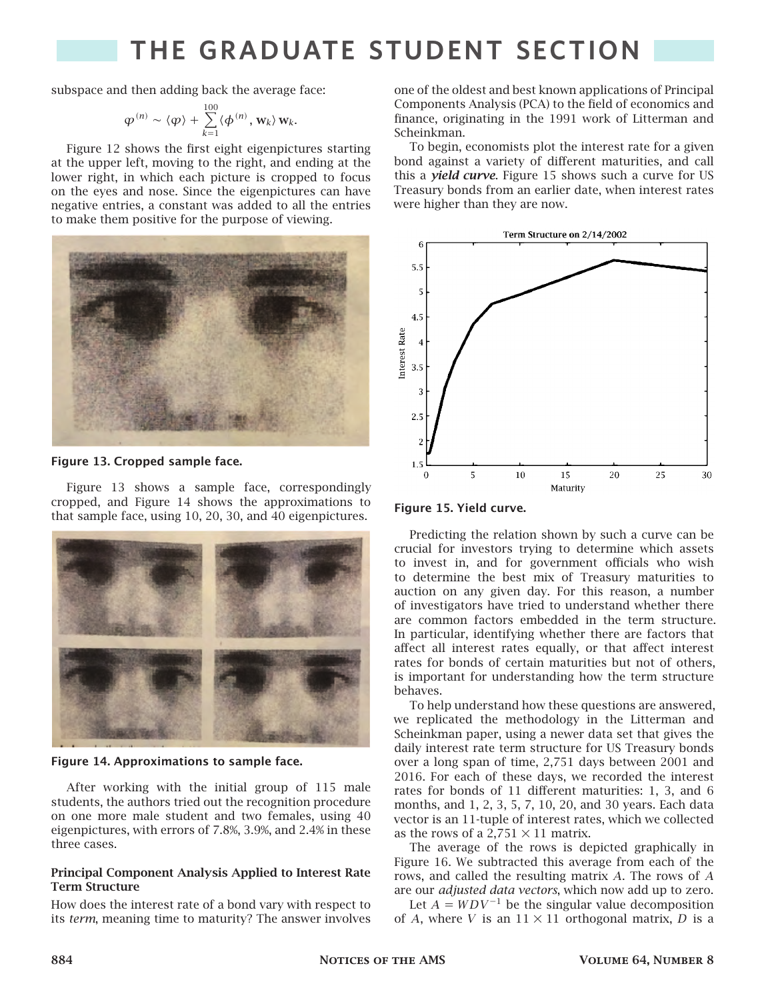subspace and then adding back the average face:

$$
\varphi^{(n)} \sim \langle \varphi \rangle + \sum_{k=1}^{100} \langle \phi^{(n)}, \mathbf{w}_k \rangle \mathbf{w}_k.
$$

Figure 12 shows the first eight eigenpictures starting at the upper left, moving to the right, and ending at the lower right, in which each picture is cropped to focus on the eyes and nose. Since the eigenpictures can have negative entries, a constant was added to all the entries to make them positive for the purpose of viewing.



#### **Figure 13. Cropped sample face.**

Figure 13 shows a sample face, correspondingly cropped, and Figure 14 shows the approximations to that sample face, using 10, 20, 30, and 40 eigenpictures.



**Figure 14. Approximations to sample face.**

After working with the initial group of 115 male students, the authors tried out the recognition procedure on one more male student and two females, using 40 eigenpictures, with errors of 7.8%, 3.9%, and 2.4% in these three cases.

#### **Principal Component Analysis Applied to Interest Rate Term Structure**

How does the interest rate of a bond vary with respect to its *term*, meaning time to maturity? The answer involves

one of the oldest and best known applications of Principal Components Analysis (PCA) to the field of economics and finance, originating in the 1991 work of Litterman and Scheinkman.

To begin, economists plot the interest rate for a given bond against a variety of different maturities, and call this a *yield curve*. Figure 15 shows such a curve for US Treasury bonds from an earlier date, when interest rates were higher than they are now.





Predicting the relation shown by such a curve can be crucial for investors trying to determine which assets to invest in, and for government officials who wish to determine the best mix of Treasury maturities to auction on any given day. For this reason, a number of investigators have tried to understand whether there are common factors embedded in the term structure. In particular, identifying whether there are factors that affect all interest rates equally, or that affect interest rates for bonds of certain maturities but not of others, is important for understanding how the term structure behaves.

To help understand how these questions are answered, we replicated the methodology in the Litterman and Scheinkman paper, using a newer data set that gives the daily interest rate term structure for US Treasury bonds over a long span of time, 2,751 days between 2001 and 2016. For each of these days, we recorded the interest rates for bonds of 11 different maturities: 1, 3, and 6 months, and 1, 2, 3, 5, 7, 10, 20, and 30 years. Each data vector is an 11-tuple of interest rates, which we collected as the rows of a 2,751  $\times$  11 matrix.

The average of the rows is depicted graphically in Figure 16. We subtracted this average from each of the rows, and called the resulting matrix  $A$ . The rows of  $A$ are our *adjusted data vectors*, which now add up to zero.

Let  $A = WDV^{-1}$  be the singular value decomposition of A, where V is an  $11 \times 11$  orthogonal matrix, D is a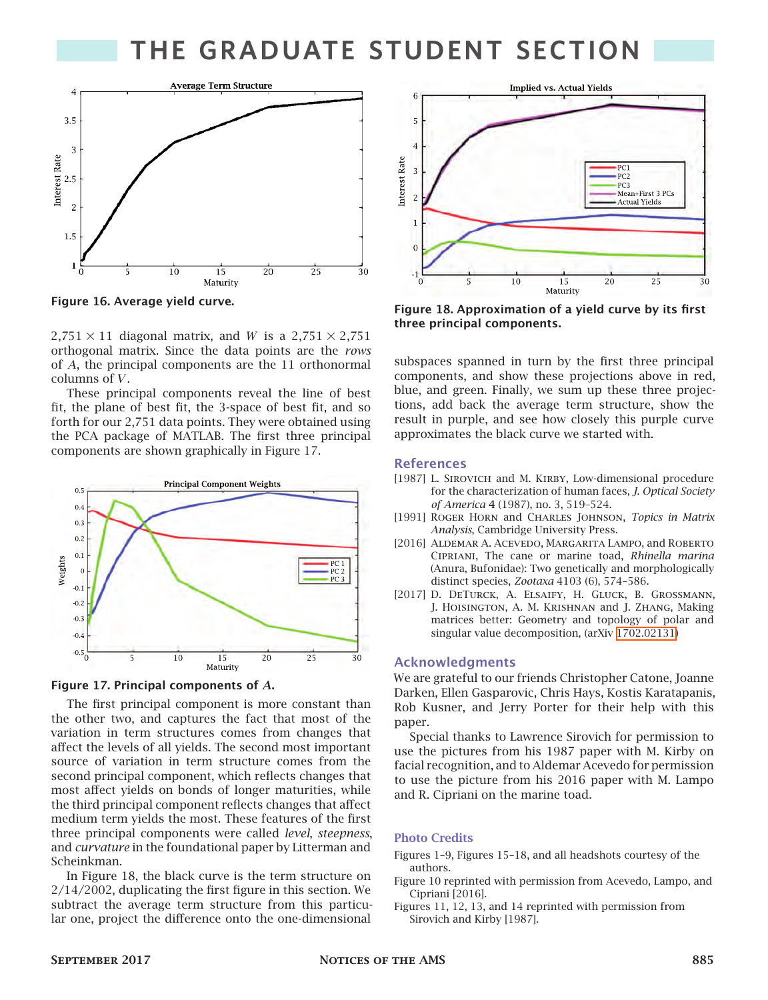

**Figure 16. Average yield curve.**

 $2,751 \times 11$  diagonal matrix, and W is a  $2,751 \times 2,751$ orthogonal matrix. Since the data points are the *rows* of  $A$ , the principal components are the 11 orthonormal columns of  $V$ .

These principal components reveal the line of best fit, the plane of best fit, the 3-space of best fit, and so forth for our 2,751 data points. They were obtained using the PCA package of MATLAB. The first three principal components are shown graphically in Figure 17.





The first principal component is more constant than the other two, and captures the fact that most of the variation in term structures comes from changes that affect the levels of all yields. The second most important source of variation in term structure comes from the second principal component, which reflects changes that most affect yields on bonds of longer maturities, while the third principal component reflects changes that affect medium term yields the most. These features of the first three principal components were called *level*, *steepness*, and *curvature* in the foundational paper by Litterman and Scheinkman.

In Figure 18, the black curve is the term structure on 2/14/2002, duplicating the first figure in this section. We subtract the average term structure from this particular one, project the difference onto the one-dimensional



**Figure 18. Approximation of a yield curve by its first three principal components.**

subspaces spanned in turn by the first three principal components, and show these projections above in red, blue, and green. Finally, we sum up these three projections, add back the average term structure, show the result in purple, and see how closely this purple curve approximates the black curve we started with.

#### **References**

- [1987] L. SIROVICH and M. KIRBY, Low-dimensional procedure for the characterization of human faces, *J. Optical Society of America* **4** (1987), no. 3, 519–524.
- [1991] Roger Horn and Charles Johnson, *Topics in Matrix Analysis*, Cambridge University Press.
- [2016] ALDEMAR A. ACEVEDO, MARGARITA LAMPO, and ROBERTO Cipriani, The cane or marine toad, *Rhinella marina* (Anura, Bufonidae): Two genetically and morphologically distinct species, *Zootaxa* 4103 (6), 574–586.
- [2017] D. DeTurck, A. Elsaify, H. Gluck, B. Grossmann, J. Hoisington, A. M. Krishnan and J. Zhang, Making matrices better: Geometry and topology of polar and singular value decomposition, (arXiv [1702.02131\)](http://www.arXiv.com/abs/1702.02131)

#### **Acknowledgments**

We are grateful to our friends Christopher Catone, Joanne Darken, Ellen Gasparovic, Chris Hays, Kostis Karatapanis, Rob Kusner, and Jerry Porter for their help with this paper.

Special thanks to Lawrence Sirovich for permission to use the pictures from his 1987 paper with M. Kirby on facial recognition, and to Aldemar Acevedo for permission to use the picture from his 2016 paper with M. Lampo and R. Cipriani on the marine toad.

### **Photo Credits**

- Figures 1–9, Figures 15–18, and all headshots courtesy of the authors.
- Figure 10 reprinted with permission from Acevedo, Lampo, and Cipriani [2016].
- Figures 11, 12, 13, and 14 reprinted with permission from Sirovich and Kirby [1987].